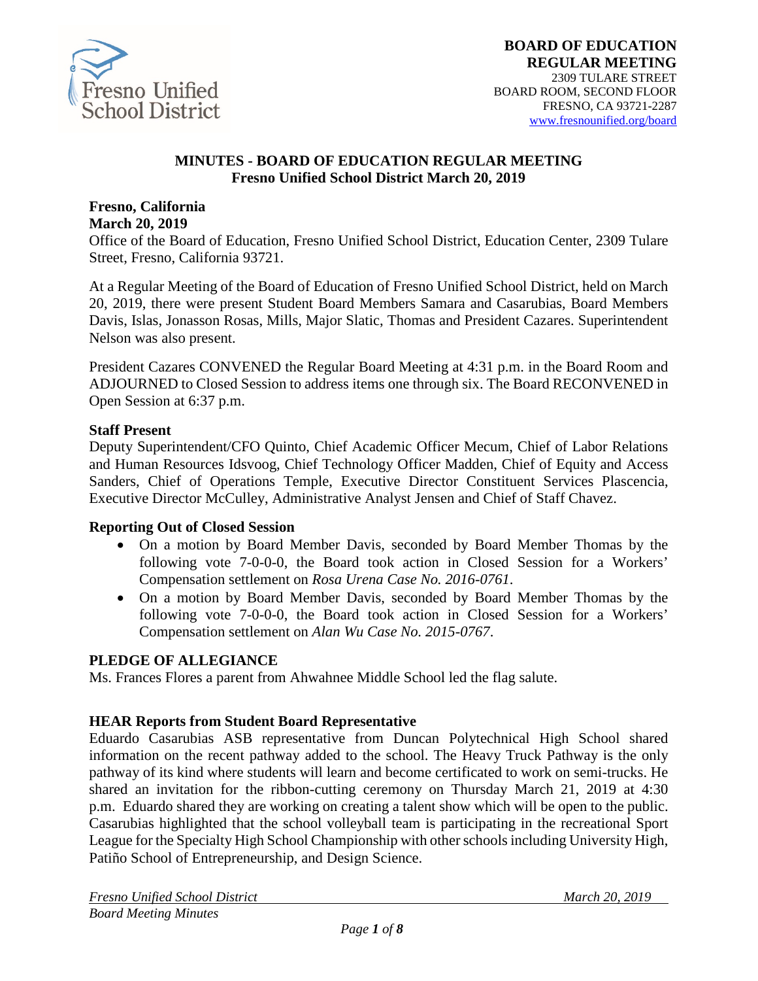

#### **MINUTES - BOARD OF EDUCATION REGULAR MEETING Fresno Unified School District March 20, 2019**

#### **Fresno, California March 20, 2019**

Office of the Board of Education, Fresno Unified School District, Education Center, 2309 Tulare Street, Fresno, California 93721.

At a Regular Meeting of the Board of Education of Fresno Unified School District, held on March 20, 2019, there were present Student Board Members Samara and Casarubias, Board Members Davis, Islas, Jonasson Rosas, Mills, Major Slatic, Thomas and President Cazares. Superintendent Nelson was also present.

President Cazares CONVENED the Regular Board Meeting at 4:31 p.m. in the Board Room and ADJOURNED to Closed Session to address items one through six. The Board RECONVENED in Open Session at 6:37 p.m.

#### **Staff Present**

Deputy Superintendent/CFO Quinto, Chief Academic Officer Mecum, Chief of Labor Relations and Human Resources Idsvoog, Chief Technology Officer Madden, Chief of Equity and Access Sanders, Chief of Operations Temple, Executive Director Constituent Services Plascencia, Executive Director McCulley, Administrative Analyst Jensen and Chief of Staff Chavez.

### **Reporting Out of Closed Session**

- On a motion by Board Member Davis, seconded by Board Member Thomas by the following vote 7-0-0-0, the Board took action in Closed Session for a Workers' Compensation settlement on *Rosa Urena Case No. 2016-0761*.
- On a motion by Board Member Davis, seconded by Board Member Thomas by the following vote 7-0-0-0, the Board took action in Closed Session for a Workers' Compensation settlement on *Alan Wu Case No. 2015-0767*.

### **PLEDGE OF ALLEGIANCE**

Ms. Frances Flores a parent from Ahwahnee Middle School led the flag salute.

### **HEAR Reports from Student Board Representative**

Eduardo Casarubias ASB representative from Duncan Polytechnical High School shared information on the recent pathway added to the school. The Heavy Truck Pathway is the only pathway of its kind where students will learn and become certificated to work on semi-trucks. He shared an invitation for the ribbon-cutting ceremony on Thursday March 21, 2019 at 4:30 p.m. Eduardo shared they are working on creating a talent show which will be open to the public. Casarubias highlighted that the school volleyball team is participating in the recreational Sport League for the Specialty High School Championship with other schools including University High, Patiño School of Entrepreneurship, and Design Science.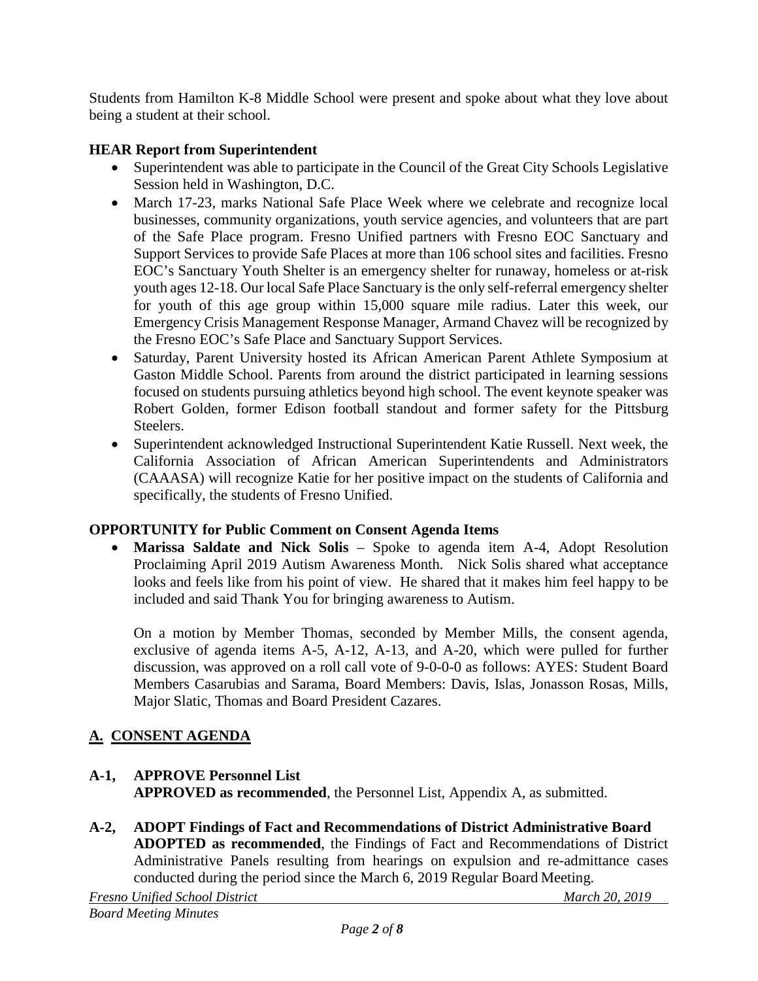Students from Hamilton K-8 Middle School were present and spoke about what they love about being a student at their school.

# **HEAR Report from Superintendent**

- Superintendent was able to participate in the Council of the Great City Schools Legislative Session held in Washington, D.C.
- March 17-23, marks National Safe Place Week where we celebrate and recognize local businesses, community organizations, youth service agencies, and volunteers that are part of the Safe Place program. Fresno Unified partners with Fresno EOC Sanctuary and Support Services to provide Safe Places at more than 106 school sites and facilities. Fresno EOC's Sanctuary Youth Shelter is an emergency shelter for runaway, homeless or at-risk youth ages 12-18. Our local Safe Place Sanctuary is the only self-referral emergency shelter for youth of this age group within 15,000 square mile radius. Later this week, our Emergency Crisis Management Response Manager, Armand Chavez will be recognized by the Fresno EOC's Safe Place and Sanctuary Support Services.
- Saturday, Parent University hosted its African American Parent Athlete Symposium at Gaston Middle School. Parents from around the district participated in learning sessions focused on students pursuing athletics beyond high school. The event keynote speaker was Robert Golden, former Edison football standout and former safety for the Pittsburg Steelers.
- Superintendent acknowledged Instructional Superintendent Katie Russell. Next week, the California Association of African American Superintendents and Administrators (CAAASA) will recognize Katie for her positive impact on the students of California and specifically, the students of Fresno Unified.

## **OPPORTUNITY for Public Comment on Consent Agenda Items**

• **Marissa Saldate and Nick Solis** – Spoke to agenda item A-4, Adopt Resolution Proclaiming April 2019 Autism Awareness Month. Nick Solis shared what acceptance looks and feels like from his point of view. He shared that it makes him feel happy to be included and said Thank You for bringing awareness to Autism.

On a motion by Member Thomas, seconded by Member Mills, the consent agenda, exclusive of agenda items A-5, A-12, A-13, and A-20, which were pulled for further discussion, was approved on a roll call vote of 9-0-0-0 as follows: AYES: Student Board Members Casarubias and Sarama, Board Members: Davis, Islas, Jonasson Rosas, Mills, Major Slatic, Thomas and Board President Cazares.

# **A. CONSENT AGENDA**

# **A-1, APPROVE Personnel List**

**APPROVED as recommended**, the Personnel List, Appendix A, as submitted.

**A-2, ADOPT Findings of Fact and Recommendations of District Administrative Board ADOPTED as recommended**, the Findings of Fact and Recommendations of District Administrative Panels resulting from hearings on expulsion and re-admittance cases conducted during the period since the March 6, 2019 Regular Board Meeting.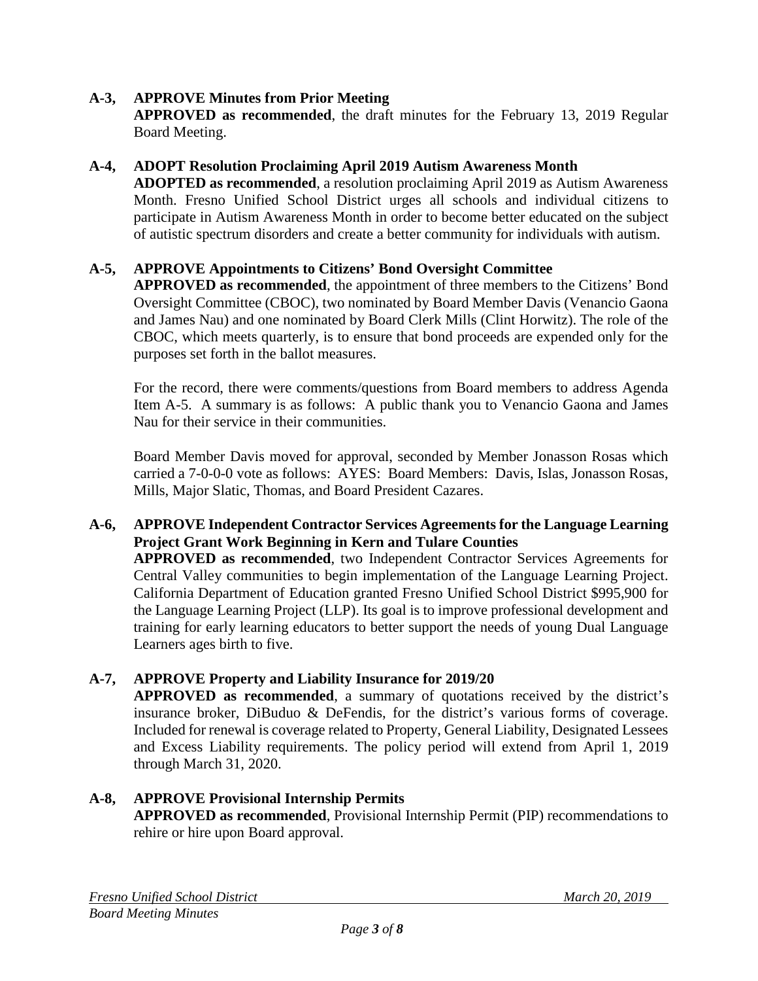### **A-3, APPROVE Minutes from Prior Meeting**

**APPROVED as recommended**, the draft minutes for the February 13, 2019 Regular Board Meeting.

### **A-4, ADOPT Resolution Proclaiming April 2019 Autism Awareness Month**

**ADOPTED as recommended**, a resolution proclaiming April 2019 as Autism Awareness Month. Fresno Unified School District urges all schools and individual citizens to participate in Autism Awareness Month in order to become better educated on the subject of autistic spectrum disorders and create a better community for individuals with autism.

### **A-5, APPROVE Appointments to Citizens' Bond Oversight Committee**

**APPROVED as recommended**, the appointment of three members to the Citizens' Bond Oversight Committee (CBOC), two nominated by Board Member Davis (Venancio Gaona and James Nau) and one nominated by Board Clerk Mills (Clint Horwitz). The role of the CBOC, which meets quarterly, is to ensure that bond proceeds are expended only for the purposes set forth in the ballot measures.

For the record, there were comments/questions from Board members to address Agenda Item A-5. A summary is as follows: A public thank you to Venancio Gaona and James Nau for their service in their communities.

Board Member Davis moved for approval, seconded by Member Jonasson Rosas which carried a 7-0-0-0 vote as follows: AYES: Board Members: Davis, Islas, Jonasson Rosas, Mills, Major Slatic, Thomas, and Board President Cazares.

### **A-6, APPROVE Independent Contractor Services Agreements for the Language Learning Project Grant Work Beginning in Kern and Tulare Counties**

**APPROVED as recommended**, two Independent Contractor Services Agreements for Central Valley communities to begin implementation of the Language Learning Project. California Department of Education granted Fresno Unified School District \$995,900 for the Language Learning Project (LLP). Its goal is to improve professional development and training for early learning educators to better support the needs of young Dual Language Learners ages birth to five.

## **A-7, APPROVE Property and Liability Insurance for 2019/20**

**APPROVED as recommended**, a summary of quotations received by the district's insurance broker, DiBuduo & DeFendis, for the district's various forms of coverage. Included for renewal is coverage related to Property, General Liability, Designated Lessees and Excess Liability requirements. The policy period will extend from April 1, 2019 through March 31, 2020.

### **A-8, APPROVE Provisional Internship Permits APPROVED as recommended**, Provisional Internship Permit (PIP) recommendations to rehire or hire upon Board approval.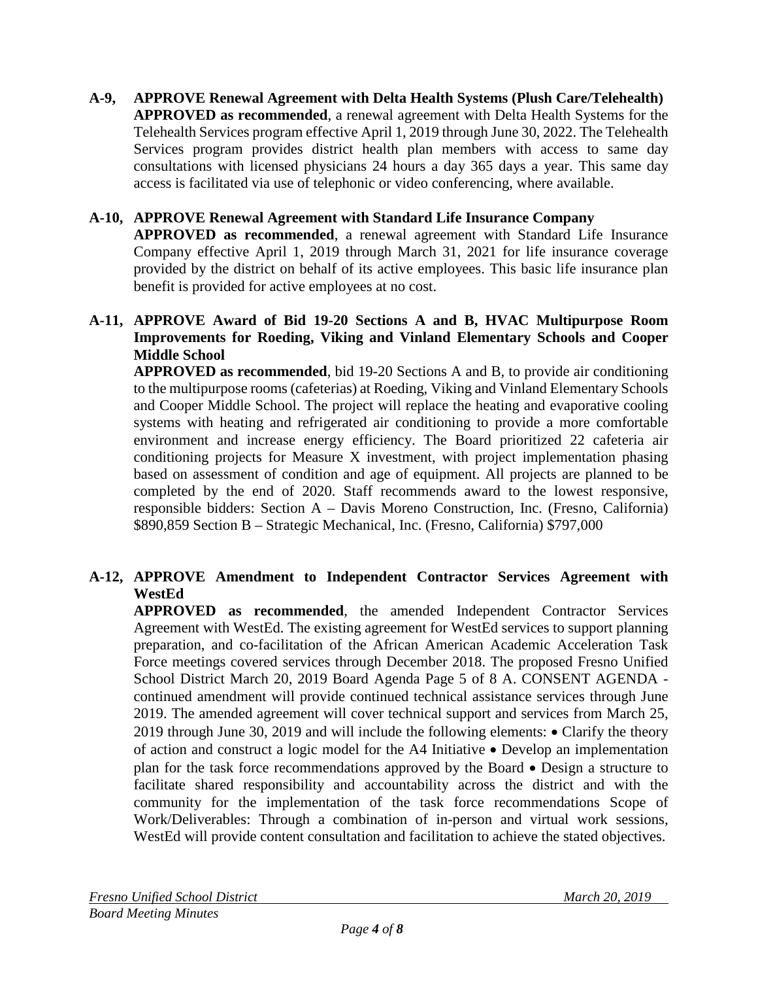**A-9, APPROVE Renewal Agreement with Delta Health Systems (Plush Care/Telehealth) APPROVED as recommended**, a renewal agreement with Delta Health Systems for the Telehealth Services program effective April 1, 2019 through June 30, 2022. The Telehealth Services program provides district health plan members with access to same day consultations with licensed physicians 24 hours a day 365 days a year. This same day access is facilitated via use of telephonic or video conferencing, where available.

### **A-10, APPROVE Renewal Agreement with Standard Life Insurance Company**

**APPROVED as recommended**, a renewal agreement with Standard Life Insurance Company effective April 1, 2019 through March 31, 2021 for life insurance coverage provided by the district on behalf of its active employees. This basic life insurance plan benefit is provided for active employees at no cost.

### **A-11, APPROVE Award of Bid 19-20 Sections A and B, HVAC Multipurpose Room Improvements for Roeding, Viking and Vinland Elementary Schools and Cooper Middle School**

**APPROVED as recommended**, bid 19-20 Sections A and B, to provide air conditioning to the multipurpose rooms (cafeterias) at Roeding, Viking and Vinland Elementary Schools and Cooper Middle School. The project will replace the heating and evaporative cooling systems with heating and refrigerated air conditioning to provide a more comfortable environment and increase energy efficiency. The Board prioritized 22 cafeteria air conditioning projects for Measure X investment, with project implementation phasing based on assessment of condition and age of equipment. All projects are planned to be completed by the end of 2020. Staff recommends award to the lowest responsive, responsible bidders: Section A – Davis Moreno Construction, Inc. (Fresno, California) \$890,859 Section B – Strategic Mechanical, Inc. (Fresno, California) \$797,000

# **A-12, APPROVE Amendment to Independent Contractor Services Agreement with WestEd**

**APPROVED as recommended**, the amended Independent Contractor Services Agreement with WestEd. The existing agreement for WestEd services to support planning preparation, and co-facilitation of the African American Academic Acceleration Task Force meetings covered services through December 2018. The proposed Fresno Unified School District March 20, 2019 Board Agenda Page 5 of 8 A. CONSENT AGENDA continued amendment will provide continued technical assistance services through June 2019. The amended agreement will cover technical support and services from March 25, 2019 through June 30, 2019 and will include the following elements: • Clarify the theory of action and construct a logic model for the A4 Initiative • Develop an implementation plan for the task force recommendations approved by the Board • Design a structure to facilitate shared responsibility and accountability across the district and with the community for the implementation of the task force recommendations Scope of Work/Deliverables: Through a combination of in-person and virtual work sessions, WestEd will provide content consultation and facilitation to achieve the stated objectives.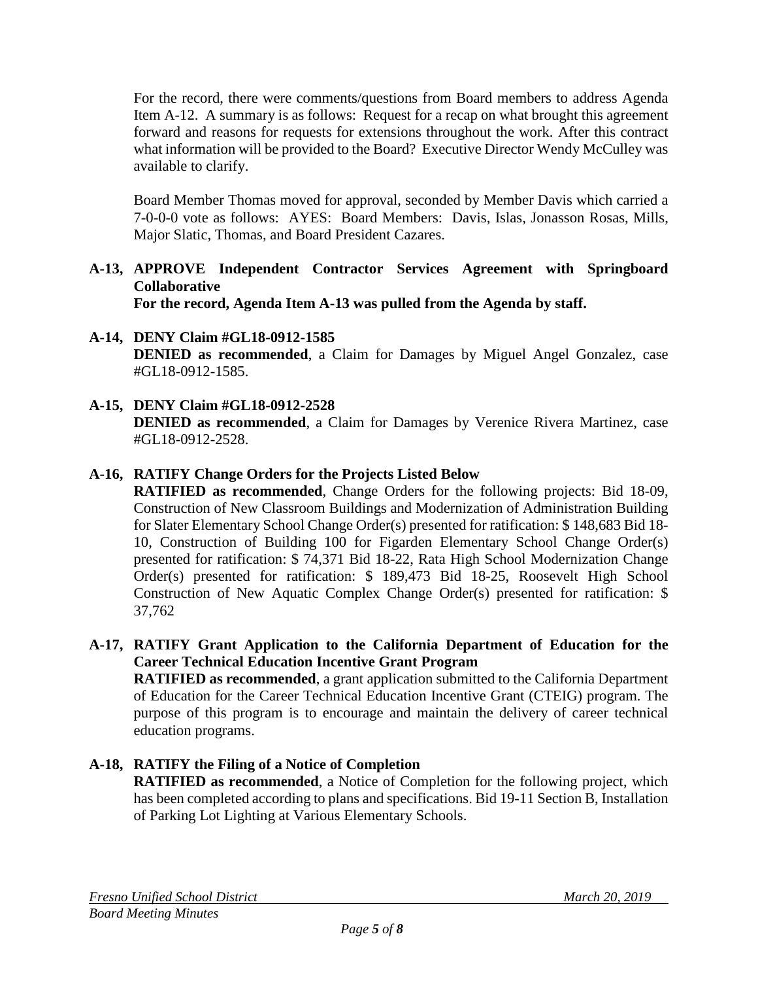For the record, there were comments/questions from Board members to address Agenda Item A-12. A summary is as follows: Request for a recap on what brought this agreement forward and reasons for requests for extensions throughout the work. After this contract what information will be provided to the Board? Executive Director Wendy McCulley was available to clarify.

Board Member Thomas moved for approval, seconded by Member Davis which carried a 7-0-0-0 vote as follows: AYES: Board Members: Davis, Islas, Jonasson Rosas, Mills, Major Slatic, Thomas, and Board President Cazares.

# **A-13, APPROVE Independent Contractor Services Agreement with Springboard Collaborative**

**For the record, Agenda Item A-13 was pulled from the Agenda by staff.**

- **A-14, DENY Claim #GL18-0912-1585 DENIED as recommended**, a Claim for Damages by Miguel Angel Gonzalez, case #GL18-0912-1585.
- **A-15, DENY Claim #GL18-0912-2528 DENIED as recommended**, a Claim for Damages by Verenice Rivera Martinez, case #GL18-0912-2528.

# **A-16, RATIFY Change Orders for the Projects Listed Below**

**RATIFIED as recommended**, Change Orders for the following projects: Bid 18-09, Construction of New Classroom Buildings and Modernization of Administration Building for Slater Elementary School Change Order(s) presented for ratification: \$ 148,683 Bid 18- 10, Construction of Building 100 for Figarden Elementary School Change Order(s) presented for ratification: \$ 74,371 Bid 18-22, Rata High School Modernization Change Order(s) presented for ratification: \$ 189,473 Bid 18-25, Roosevelt High School Construction of New Aquatic Complex Change Order(s) presented for ratification: \$ 37,762

**A-17, RATIFY Grant Application to the California Department of Education for the Career Technical Education Incentive Grant Program**

**RATIFIED as recommended**, a grant application submitted to the California Department of Education for the Career Technical Education Incentive Grant (CTEIG) program. The purpose of this program is to encourage and maintain the delivery of career technical education programs.

# **A-18, RATIFY the Filing of a Notice of Completion**

**RATIFIED as recommended**, a Notice of Completion for the following project, which has been completed according to plans and specifications. Bid 19-11 Section B, Installation of Parking Lot Lighting at Various Elementary Schools.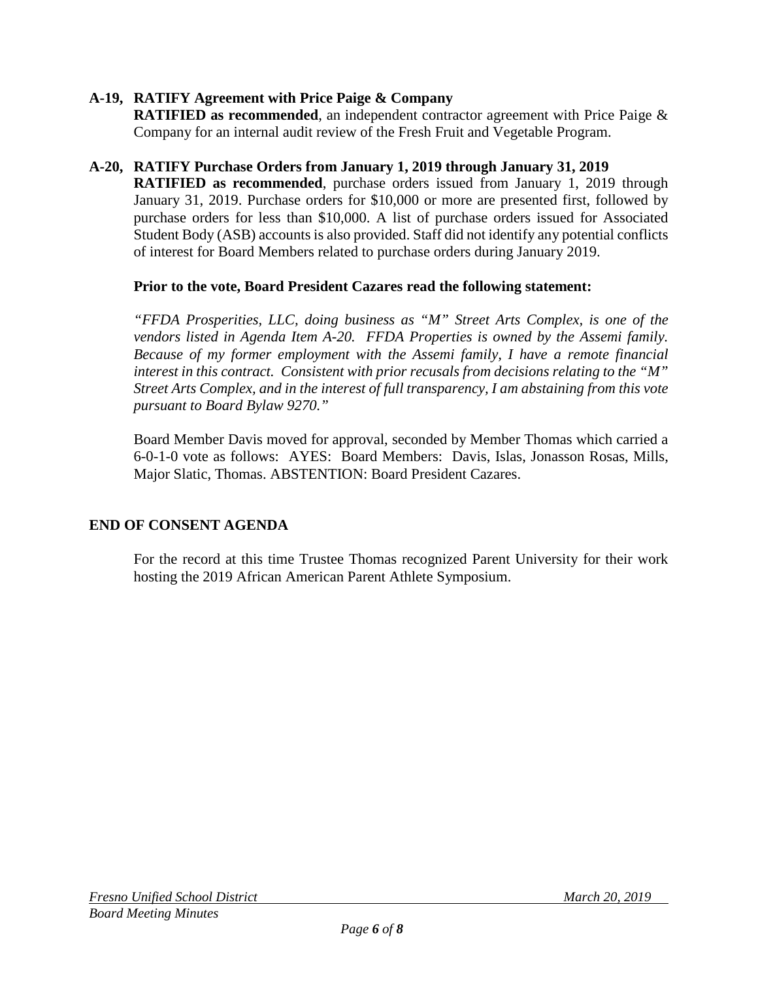### **A-19, RATIFY Agreement with Price Paige & Company**

**RATIFIED as recommended**, an independent contractor agreement with Price Paige & Company for an internal audit review of the Fresh Fruit and Vegetable Program.

### **A-20, RATIFY Purchase Orders from January 1, 2019 through January 31, 2019**

**RATIFIED as recommended**, purchase orders issued from January 1, 2019 through January 31, 2019. Purchase orders for \$10,000 or more are presented first, followed by purchase orders for less than \$10,000. A list of purchase orders issued for Associated Student Body (ASB) accounts is also provided. Staff did not identify any potential conflicts of interest for Board Members related to purchase orders during January 2019.

### **Prior to the vote, Board President Cazares read the following statement:**

*"FFDA Prosperities, LLC, doing business as "M" Street Arts Complex, is one of the vendors listed in Agenda Item A-20. FFDA Properties is owned by the Assemi family. Because of my former employment with the Assemi family, I have a remote financial interest in this contract. Consistent with prior recusals from decisions relating to the "M" Street Arts Complex, and in the interest of full transparency, I am abstaining from this vote pursuant to Board Bylaw 9270."*

Board Member Davis moved for approval, seconded by Member Thomas which carried a 6-0-1-0 vote as follows: AYES: Board Members: Davis, Islas, Jonasson Rosas, Mills, Major Slatic, Thomas. ABSTENTION: Board President Cazares.

## **END OF CONSENT AGENDA**

For the record at this time Trustee Thomas recognized Parent University for their work hosting the 2019 African American Parent Athlete Symposium.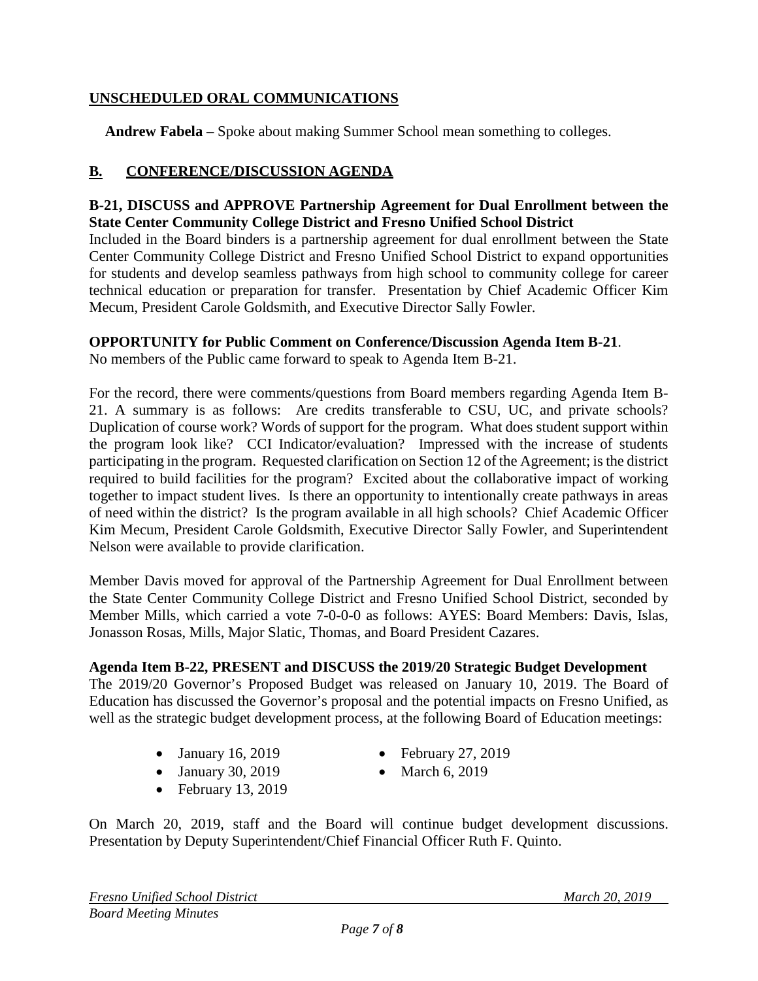## **UNSCHEDULED ORAL COMMUNICATIONS**

**Andrew Fabela** – Spoke about making Summer School mean something to colleges.

### **B. CONFERENCE/DISCUSSION AGENDA**

#### **B-21, DISCUSS and APPROVE Partnership Agreement for Dual Enrollment between the State Center Community College District and Fresno Unified School District**

Included in the Board binders is a partnership agreement for dual enrollment between the State Center Community College District and Fresno Unified School District to expand opportunities for students and develop seamless pathways from high school to community college for career technical education or preparation for transfer. Presentation by Chief Academic Officer Kim Mecum, President Carole Goldsmith, and Executive Director Sally Fowler.

### **OPPORTUNITY for Public Comment on Conference/Discussion Agenda Item B-21**.

No members of the Public came forward to speak to Agenda Item B-21.

For the record, there were comments/questions from Board members regarding Agenda Item B-21. A summary is as follows: Are credits transferable to CSU, UC, and private schools? Duplication of course work? Words of support for the program. What does student support within the program look like? CCI Indicator/evaluation? Impressed with the increase of students participating in the program. Requested clarification on Section 12 of the Agreement; is the district required to build facilities for the program? Excited about the collaborative impact of working together to impact student lives. Is there an opportunity to intentionally create pathways in areas of need within the district? Is the program available in all high schools? Chief Academic Officer Kim Mecum, President Carole Goldsmith, Executive Director Sally Fowler, and Superintendent Nelson were available to provide clarification.

Member Davis moved for approval of the Partnership Agreement for Dual Enrollment between the State Center Community College District and Fresno Unified School District, seconded by Member Mills, which carried a vote 7-0-0-0 as follows: AYES: Board Members: Davis, Islas, Jonasson Rosas, Mills, Major Slatic, Thomas, and Board President Cazares.

### **Agenda Item B-22, PRESENT and DISCUSS the 2019/20 Strategic Budget Development**

The 2019/20 Governor's Proposed Budget was released on January 10, 2019. The Board of Education has discussed the Governor's proposal and the potential impacts on Fresno Unified, as well as the strategic budget development process, at the following Board of Education meetings:

- January 16, 2019
- February 27, 2019
- January 30, 2019
- March 6, 2019
- February 13, 2019

On March 20, 2019, staff and the Board will continue budget development discussions. Presentation by Deputy Superintendent/Chief Financial Officer Ruth F. Quinto.